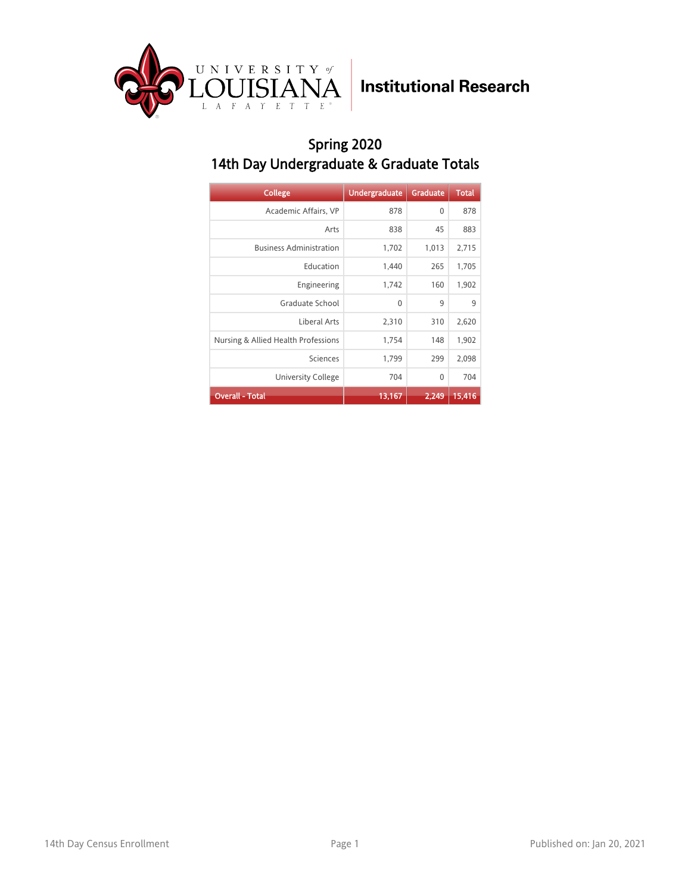

## Spring 2020 14th Day Undergraduate & Graduate Totals

| <b>College</b>                      | <b>Undergraduate</b> | <b>Graduate</b> | <b>Total</b> |
|-------------------------------------|----------------------|-----------------|--------------|
| Academic Affairs, VP                | 878                  | 0               | 878          |
| Arts                                | 838                  | 45              | 883          |
| <b>Business Administration</b>      | 1,702                | 1,013           | 2,715        |
| Education                           | 1,440                | 265             | 1,705        |
| Engineering                         | 1,742                | 160             | 1,902        |
| Graduate School                     | 0                    | 9               | 9            |
| Liberal Arts                        | 2,310                | 310             | 2,620        |
| Nursing & Allied Health Professions | 1,754                | 148             | 1,902        |
| Sciences                            | 1,799                | 299             | 2,098        |
| University College                  | 704                  | 0               | 704          |
| <b>Overall - Total</b>              | 13,167               | 2.249           | 15,416       |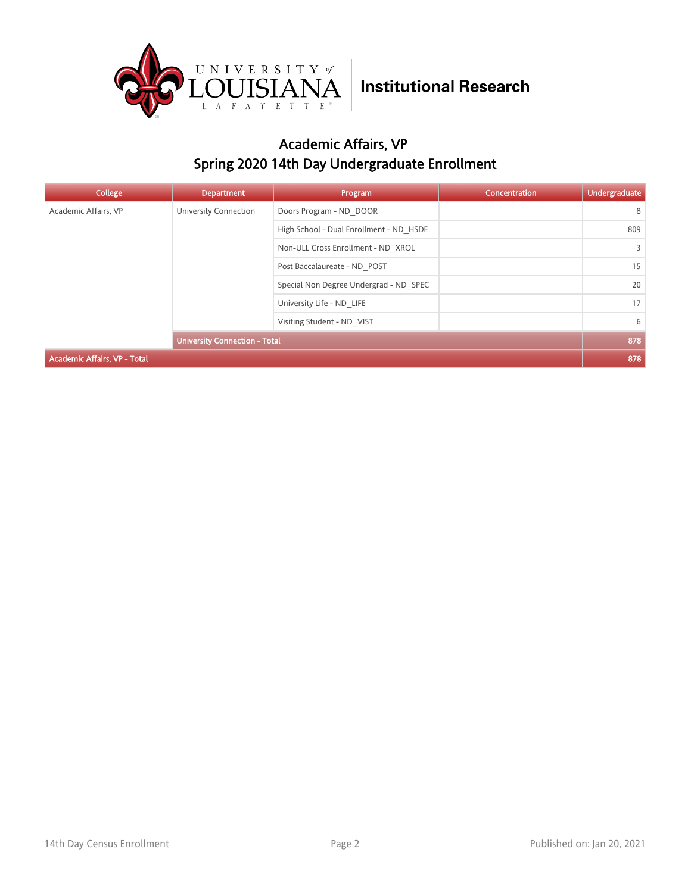

## Academic Affairs, VP Spring 2020 14th Day Undergraduate Enrollment

| College                             | <b>Department</b>                    | Program                                 | <b>Concentration</b> | <b>Undergraduate</b> |
|-------------------------------------|--------------------------------------|-----------------------------------------|----------------------|----------------------|
| Academic Affairs, VP                | University Connection                | Doors Program - ND DOOR                 |                      | 8                    |
|                                     |                                      | High School - Dual Enrollment - ND HSDE |                      | 809                  |
|                                     |                                      | Non-ULL Cross Enrollment - ND XROL      |                      | $\overline{3}$       |
|                                     | Post Baccalaureate - ND POST         |                                         | 15                   |                      |
|                                     |                                      | Special Non Degree Undergrad - ND SPEC  |                      | 20                   |
|                                     | University Life - ND LIFE            |                                         | 17                   |                      |
|                                     | Visiting Student - ND VIST           |                                         | 6                    |                      |
|                                     | <b>University Connection - Total</b> |                                         |                      | 878                  |
| <b>Academic Affairs, VP - Total</b> |                                      |                                         |                      | 878                  |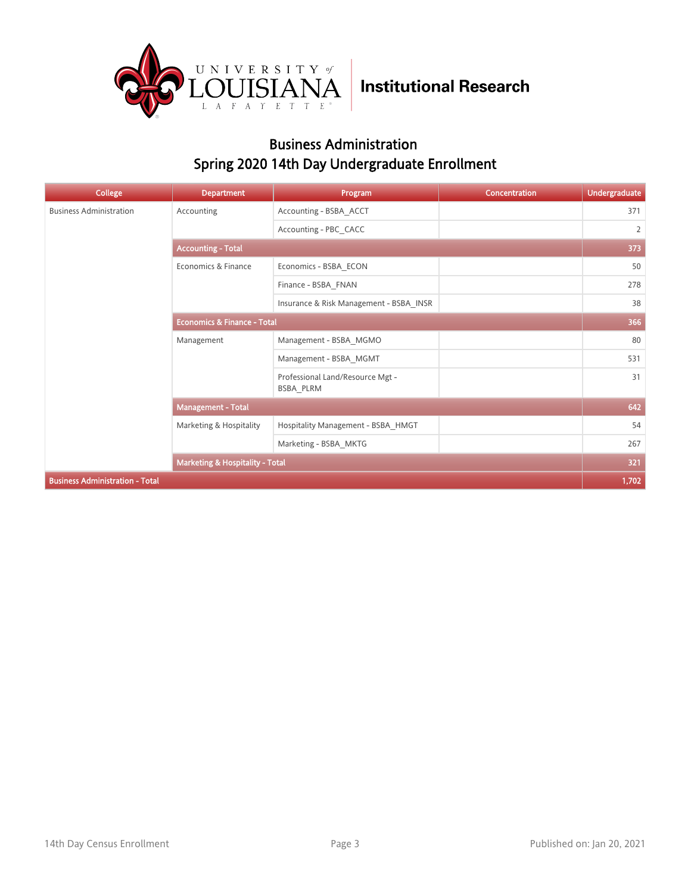

### Business Administration Spring 2020 14th Day Undergraduate Enrollment

| <b>College</b>                         | <b>Department</b>                          | Program                                       | Concentration | <b>Undergraduate</b> |  |
|----------------------------------------|--------------------------------------------|-----------------------------------------------|---------------|----------------------|--|
| <b>Business Administration</b>         | Accounting                                 | Accounting - BSBA ACCT                        |               | 371                  |  |
|                                        |                                            | Accounting - PBC CACC                         |               | $\overline{2}$       |  |
|                                        | <b>Accounting - Total</b>                  |                                               |               |                      |  |
|                                        | Economics & Finance                        | Economics - BSBA ECON                         |               | 50                   |  |
|                                        |                                            | Finance - BSBA_FNAN                           |               | 278                  |  |
|                                        |                                            | Insurance & Risk Management - BSBA INSR       |               | 38                   |  |
|                                        | <b>Economics &amp; Finance - Total</b>     |                                               |               | 366                  |  |
|                                        | Management                                 | Management - BSBA MGMO                        |               | 80                   |  |
|                                        |                                            | Management - BSBA_MGMT                        |               | 531                  |  |
|                                        |                                            | Professional Land/Resource Mgt -<br>BSBA PLRM |               | 31                   |  |
|                                        | <b>Management - Total</b>                  |                                               |               | 642                  |  |
|                                        | Marketing & Hospitality                    | Hospitality Management - BSBA HMGT            |               | 54                   |  |
|                                        |                                            | Marketing - BSBA MKTG                         |               | 267                  |  |
|                                        | <b>Marketing &amp; Hospitality - Total</b> |                                               |               | 321                  |  |
| <b>Business Administration - Total</b> |                                            |                                               |               | 1,702                |  |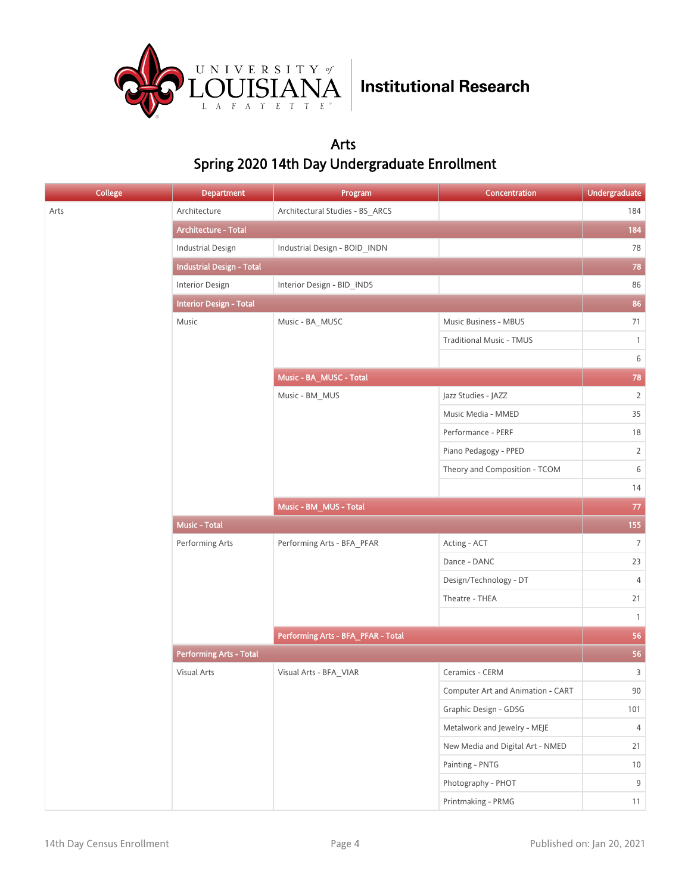

### Arts Spring 2020 14th Day Undergraduate Enrollment

| <b>College</b> | <b>Department</b>                | Program                            | Concentration                     | <b>Undergraduate</b> |
|----------------|----------------------------------|------------------------------------|-----------------------------------|----------------------|
| Arts           | Architecture                     | Architectural Studies - BS_ARCS    |                                   | 184                  |
|                | Architecture - Total             |                                    |                                   | 184                  |
|                | <b>Industrial Design</b>         | Industrial Design - BOID_INDN      |                                   | 78                   |
|                | <b>Industrial Design - Total</b> |                                    |                                   | 78                   |
|                | Interior Design                  | Interior Design - BID_INDS         |                                   | 86                   |
|                | <b>Interior Design - Total</b>   |                                    |                                   | 86                   |
|                | Music                            | Music - BA_MUSC                    | Music Business - MBUS             | 71                   |
|                |                                  |                                    | <b>Traditional Music - TMUS</b>   | $\mathbf{1}$         |
|                |                                  |                                    |                                   | $\,$ 6 $\,$          |
|                |                                  | Music - BA_MUSC - Total            |                                   | 78                   |
|                |                                  | Music - BM_MUS                     | Jazz Studies - JAZZ               | $\overline{2}$       |
|                |                                  |                                    | Music Media - MMED                | 35                   |
|                |                                  |                                    | Performance - PERF                | 18                   |
|                |                                  |                                    | Piano Pedagogy - PPED             | $\overline{2}$       |
|                |                                  |                                    | Theory and Composition - TCOM     | $\,$ 6 $\,$          |
|                |                                  |                                    |                                   | 14                   |
|                |                                  | Music - BM_MUS - Total             |                                   | $77\,$               |
|                | <b>Music - Total</b>             |                                    |                                   | 155                  |
|                | Performing Arts                  | Performing Arts - BFA_PFAR         | Acting - ACT                      | $7\overline{ }$      |
|                |                                  |                                    | Dance - DANC                      | 23                   |
|                |                                  |                                    | Design/Technology - DT            | $\overline{4}$       |
|                |                                  |                                    | Theatre - THEA                    | 21                   |
|                |                                  |                                    |                                   | $\mathbf{1}$         |
|                |                                  | Performing Arts - BFA_PFAR - Total |                                   | 56                   |
|                | <b>Performing Arts - Total</b>   |                                    |                                   | 56                   |
|                | Visual Arts                      | Visual Arts - BFA_VIAR             | Ceramics - CERM                   | $\overline{3}$       |
|                |                                  |                                    | Computer Art and Animation - CART | $90\,$               |
|                |                                  |                                    | Graphic Design - GDSG             | 101                  |
|                |                                  |                                    | Metalwork and Jewelry - MEJE      | $\overline{4}$       |
|                |                                  |                                    | New Media and Digital Art - NMED  | 21                   |
|                |                                  |                                    | Painting - PNTG                   | 10                   |
|                |                                  |                                    | Photography - PHOT                | $9\,$                |
|                |                                  |                                    | Printmaking - PRMG                | 11                   |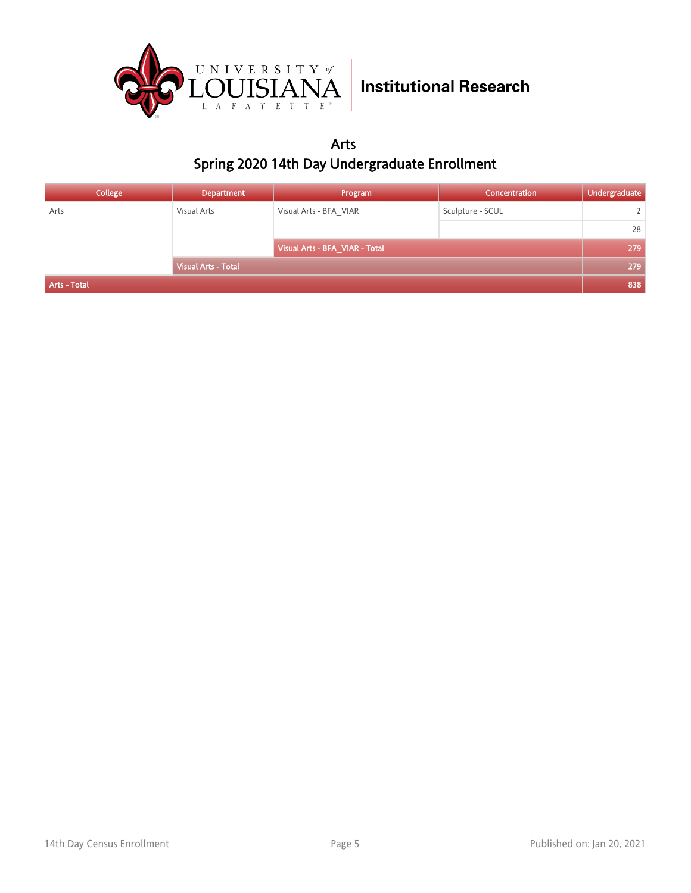

Arts Spring 2020 14th Day Undergraduate Enrollment

| College      | <b>Department</b>          | Program                        | <b>Concentration</b> | Undergraduate |
|--------------|----------------------------|--------------------------------|----------------------|---------------|
| Arts         | Visual Arts                | Visual Arts - BFA VIAR         | Sculpture - SCUL     |               |
|              |                            |                                |                      | 28            |
|              |                            | Visual Arts - BFA_VIAR - Total |                      | 279           |
|              | <b>Visual Arts - Total</b> |                                |                      | 279           |
| Arts - Total |                            |                                |                      | 838           |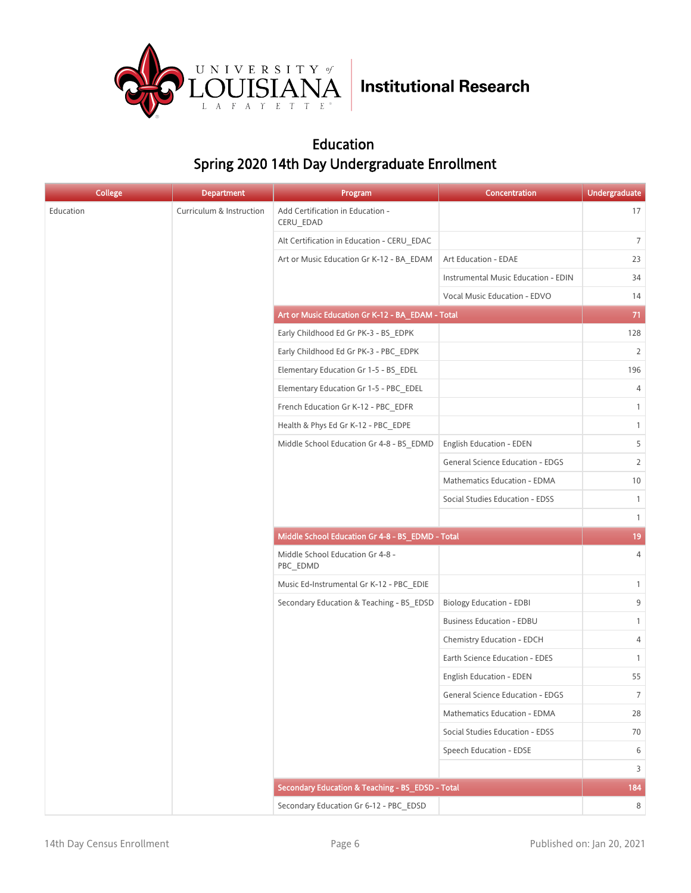

### Education Spring 2020 14th Day Undergraduate Enrollment

| <b>College</b> | <b>Department</b>        | Program                                          | Concentration                           | <b>Undergraduate</b> |
|----------------|--------------------------|--------------------------------------------------|-----------------------------------------|----------------------|
| Education      | Curriculum & Instruction | Add Certification in Education -<br>CERU_EDAD    |                                         | 17                   |
|                |                          | Alt Certification in Education - CERU EDAC       |                                         | $7\overline{ }$      |
|                |                          | Art or Music Education Gr K-12 - BA_EDAM         | Art Education - EDAE                    | 23                   |
|                |                          |                                                  | Instrumental Music Education - EDIN     | 34                   |
|                |                          |                                                  | Vocal Music Education - EDVO            | 14                   |
|                |                          | Art or Music Education Gr K-12 - BA_EDAM - Total |                                         | 71                   |
|                |                          | Early Childhood Ed Gr PK-3 - BS EDPK             |                                         | 128                  |
|                |                          | Early Childhood Ed Gr PK-3 - PBC EDPK            |                                         | $\overline{2}$       |
|                |                          | Elementary Education Gr 1-5 - BS EDEL            |                                         | 196                  |
|                |                          | Elementary Education Gr 1-5 - PBC EDEL           |                                         | $\overline{4}$       |
|                |                          | French Education Gr K-12 - PBC EDFR              |                                         | $\mathbf{1}$         |
|                |                          | Health & Phys Ed Gr K-12 - PBC EDPE              |                                         | $\mathbf{1}$         |
|                |                          | Middle School Education Gr 4-8 - BS EDMD         | <b>English Education - EDEN</b>         | 5                    |
|                |                          |                                                  | <b>General Science Education - EDGS</b> | $\overline{2}$       |
|                |                          |                                                  | Mathematics Education - EDMA            | 10                   |
|                |                          |                                                  | Social Studies Education - EDSS         | $\mathbf{1}$         |
|                |                          |                                                  |                                         | $\mathbf{1}$         |
|                |                          | Middle School Education Gr 4-8 - BS_EDMD - Total |                                         | 19                   |
|                |                          | Middle School Education Gr 4-8 -<br>PBC EDMD     |                                         | 4                    |
|                |                          | Music Ed-Instrumental Gr K-12 - PBC_EDIE         |                                         | $\mathbf{1}$         |
|                |                          | Secondary Education & Teaching - BS_EDSD         | <b>Biology Education - EDBI</b>         | 9                    |
|                |                          |                                                  | <b>Business Education - EDBU</b>        | $\mathbf{1}$         |
|                |                          |                                                  | Chemistry Education - EDCH              | 4                    |
|                |                          |                                                  | Earth Science Education - EDES          | $\mathbf{1}$         |
|                |                          |                                                  | <b>English Education - EDEN</b>         | 55                   |
|                |                          |                                                  | General Science Education - EDGS        | $\overline{7}$       |
|                |                          |                                                  | Mathematics Education - EDMA            | 28                   |
|                |                          |                                                  | Social Studies Education - EDSS         | 70                   |
|                |                          |                                                  | Speech Education - EDSE                 | 6                    |
|                |                          |                                                  |                                         | $\overline{3}$       |
|                |                          | Secondary Education & Teaching - BS_EDSD - Total |                                         | 184                  |
|                |                          | Secondary Education Gr 6-12 - PBC_EDSD           |                                         | 8                    |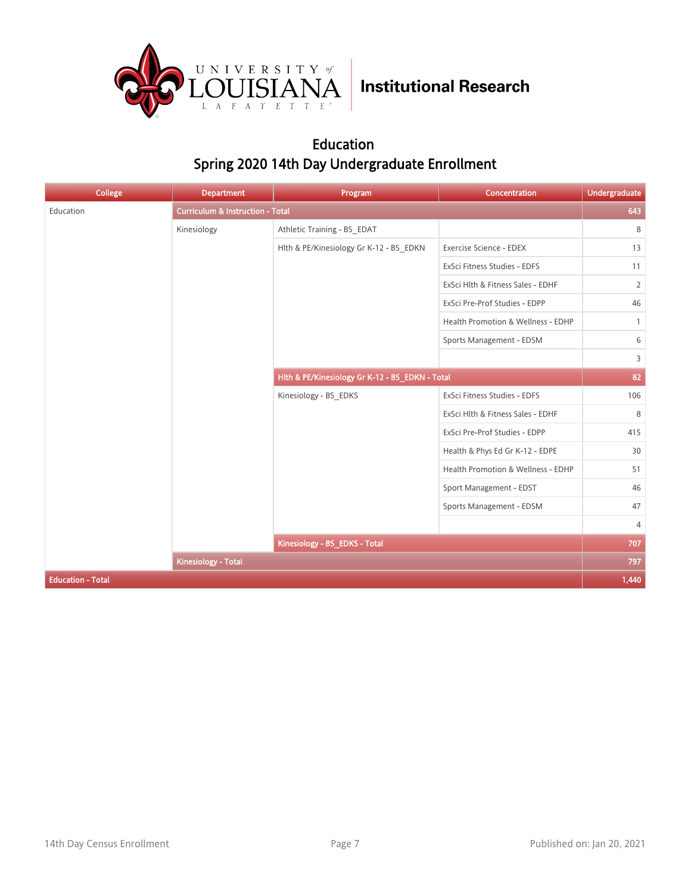

### Education Spring 2020 14th Day Undergraduate Enrollment

| <b>College</b>           | <b>Department</b>                           | Program                                         | Concentration                      | <b>Undergraduate</b> |
|--------------------------|---------------------------------------------|-------------------------------------------------|------------------------------------|----------------------|
| Education                | <b>Curriculum &amp; Instruction - Total</b> |                                                 |                                    | 643                  |
|                          | Kinesiology                                 | Athletic Training - BS_EDAT                     |                                    | 8                    |
|                          |                                             | Hlth & PE/Kinesiology Gr K-12 - BS_EDKN         | Exercise Science - EDEX            | 13                   |
|                          |                                             |                                                 | ExSci Fitness Studies - EDFS       | 11                   |
|                          |                                             |                                                 | ExSci Hlth & Fitness Sales - EDHF  | $\overline{2}$       |
|                          |                                             |                                                 | ExSci Pre-Prof Studies - EDPP      | 46                   |
|                          |                                             |                                                 | Health Promotion & Wellness - EDHP | $\mathbf{1}$         |
|                          |                                             |                                                 | Sports Management - EDSM           | 6                    |
|                          |                                             |                                                 |                                    | 3                    |
|                          |                                             | Hlth & PE/Kinesiology Gr K-12 - BS_EDKN - Total |                                    | 82                   |
|                          |                                             | Kinesiology - BS_EDKS                           | ExSci Fitness Studies - EDFS       | 106                  |
|                          |                                             |                                                 | ExSci Hlth & Fitness Sales - EDHF  | 8                    |
|                          |                                             |                                                 | ExSci Pre-Prof Studies - EDPP      | 415                  |
|                          |                                             |                                                 | Health & Phys Ed Gr K-12 - EDPE    | 30                   |
|                          |                                             |                                                 | Health Promotion & Wellness - EDHP | 51                   |
|                          |                                             |                                                 | Sport Management - EDST            | 46                   |
|                          |                                             |                                                 | Sports Management - EDSM           | 47                   |
|                          |                                             |                                                 |                                    | 4                    |
|                          |                                             | Kinesiology - BS_EDKS - Total                   |                                    | 707                  |
|                          | <b>Kinesiology - Total</b>                  |                                                 |                                    | 797                  |
| <b>Education - Total</b> |                                             |                                                 |                                    | 1,440                |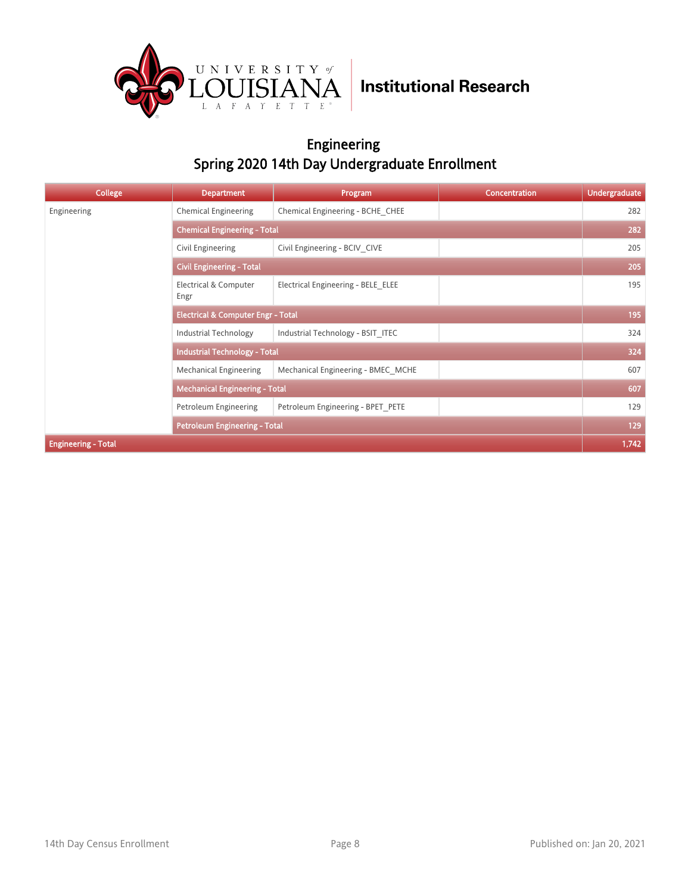

### Engineering Spring 2020 14th Day Undergraduate Enrollment

| College                    | <b>Department</b>                             | Program                             | <b>Concentration</b> | <b>Undergraduate</b> |  |
|----------------------------|-----------------------------------------------|-------------------------------------|----------------------|----------------------|--|
| Engineering                | <b>Chemical Engineering</b>                   | Chemical Engineering - BCHE CHEE    |                      | 282                  |  |
|                            |                                               | <b>Chemical Engineering - Total</b> |                      |                      |  |
|                            | Civil Engineering                             | Civil Engineering - BCIV CIVE       |                      | 205                  |  |
|                            | <b>Civil Engineering - Total</b>              |                                     |                      |                      |  |
|                            | Electrical & Computer<br>Engr                 | Electrical Engineering - BELE ELEE  |                      | 195                  |  |
|                            | <b>Electrical &amp; Computer Engr - Total</b> |                                     |                      | 195                  |  |
|                            | Industrial Technology                         | Industrial Technology - BSIT ITEC   |                      | 324                  |  |
|                            | <b>Industrial Technology - Total</b>          |                                     |                      | 324                  |  |
|                            | <b>Mechanical Engineering</b>                 | Mechanical Engineering - BMEC MCHE  |                      | 607                  |  |
|                            | <b>Mechanical Engineering - Total</b>         |                                     |                      | 607                  |  |
|                            | Petroleum Engineering                         | Petroleum Engineering - BPET PETE   |                      | 129                  |  |
|                            | <b>Petroleum Engineering - Total</b>          |                                     |                      | 129                  |  |
| <b>Engineering - Total</b> |                                               |                                     |                      | 1,742                |  |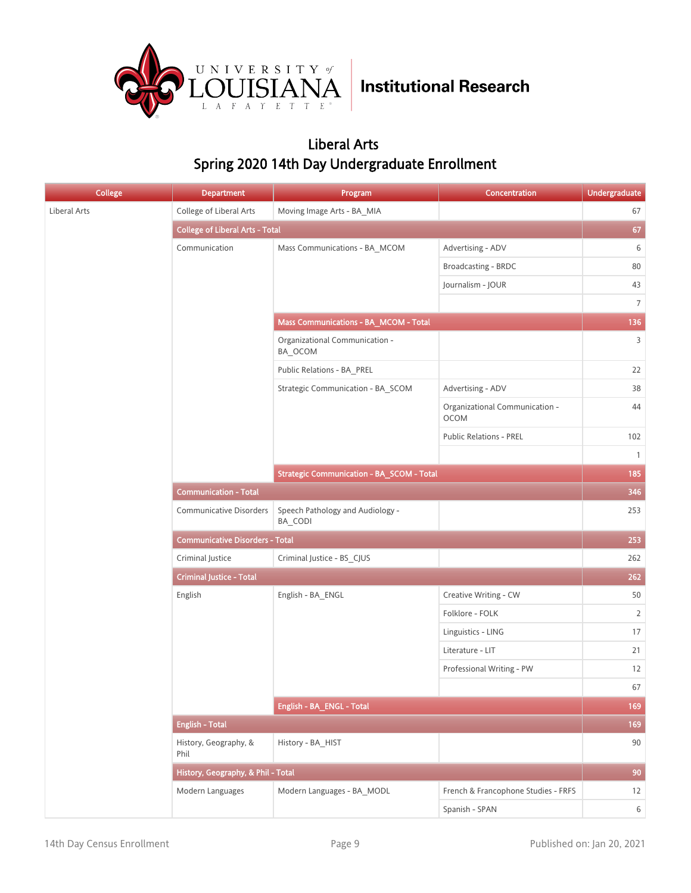

### Liberal Arts Spring 2020 14th Day Undergraduate Enrollment

| <b>College</b> | <b>Department</b>                      | Program                                          | Concentration                                 | <b>Undergraduate</b> |
|----------------|----------------------------------------|--------------------------------------------------|-----------------------------------------------|----------------------|
| Liberal Arts   | College of Liberal Arts                | Moving Image Arts - BA MIA                       |                                               | 67                   |
|                | <b>College of Liberal Arts - Total</b> |                                                  |                                               | 67                   |
|                | Communication                          | Mass Communications - BA_MCOM                    | Advertising - ADV                             | 6                    |
|                |                                        |                                                  | Broadcasting - BRDC                           | 80                   |
|                |                                        |                                                  | Journalism - JOUR                             | 43                   |
|                |                                        |                                                  |                                               | $7\overline{ }$      |
|                |                                        | Mass Communications - BA_MCOM - Total            |                                               | 136                  |
|                |                                        | Organizational Communication -<br>BA_OCOM        |                                               | $\overline{3}$       |
|                |                                        | Public Relations - BA_PREL                       |                                               | 22                   |
|                |                                        | Strategic Communication - BA_SCOM                | Advertising - ADV                             | 38                   |
|                |                                        |                                                  | Organizational Communication -<br><b>OCOM</b> | 44                   |
|                |                                        |                                                  | <b>Public Relations - PREL</b>                | 102                  |
|                |                                        |                                                  |                                               | $\mathbf{1}$         |
|                |                                        | <b>Strategic Communication - BA_SCOM - Total</b> |                                               | 185                  |
|                | <b>Communication - Total</b>           |                                                  |                                               |                      |
|                | <b>Communicative Disorders</b>         | Speech Pathology and Audiology -<br>BA CODI      |                                               | 253                  |
|                | <b>Communicative Disorders - Total</b> |                                                  |                                               | 253                  |
|                | Criminal Justice                       | Criminal Justice - BS_CJUS                       |                                               | 262                  |
|                | <b>Criminal Justice - Total</b>        |                                                  |                                               | 262                  |
|                | English                                | English - BA_ENGL                                | Creative Writing - CW                         | 50                   |
|                |                                        |                                                  | Folklore - FOLK                               | $\overline{2}$       |
|                |                                        |                                                  | Linguistics - LING                            | $17\,$               |
|                |                                        |                                                  | Literature - LIT                              | 21                   |
|                |                                        |                                                  | Professional Writing - PW                     | 12                   |
|                |                                        |                                                  |                                               | 67                   |
|                |                                        | English - BA_ENGL - Total                        |                                               | 169                  |
|                | <b>English - Total</b>                 |                                                  |                                               | 169                  |
|                | History, Geography, &<br>Phil          | History - BA_HIST                                |                                               | $90\,$               |
|                | History, Geography, & Phil - Total     |                                                  |                                               | 90                   |
|                | Modern Languages                       | Modern Languages - BA_MODL                       | French & Francophone Studies - FRFS           | 12                   |
|                |                                        |                                                  | Spanish - SPAN                                | $6\overline{6}$      |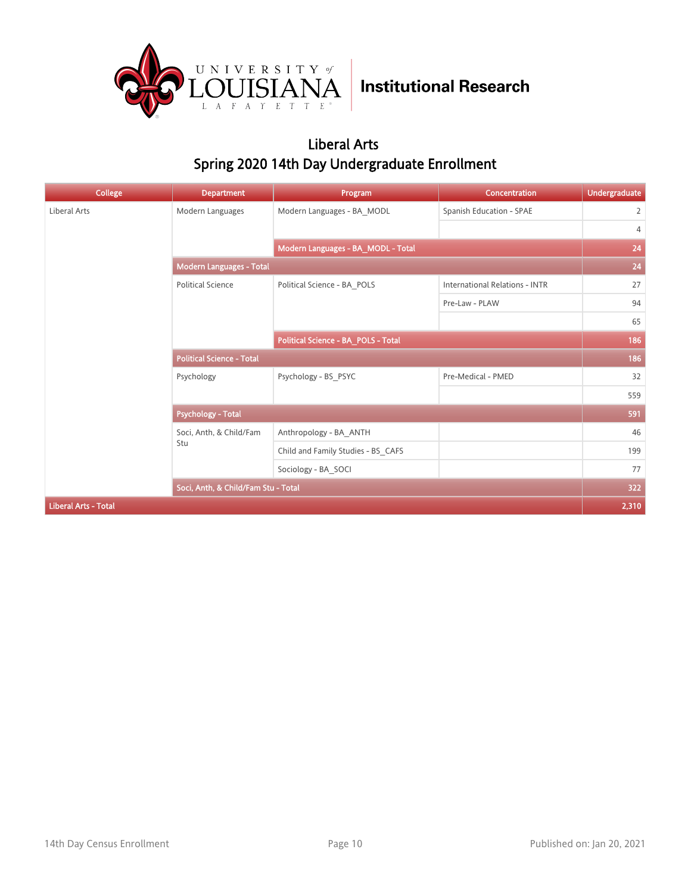

### Liberal Arts Spring 2020 14th Day Undergraduate Enrollment

| <b>College</b>              | <b>Department</b>                   | Program                             | Concentration                         | <b>Undergraduate</b> |
|-----------------------------|-------------------------------------|-------------------------------------|---------------------------------------|----------------------|
| Liberal Arts                | Modern Languages                    | Modern Languages - BA MODL          | Spanish Education - SPAE              | $\overline{2}$       |
|                             |                                     |                                     |                                       | 4                    |
|                             |                                     | Modern Languages - BA_MODL - Total  |                                       | 24                   |
|                             | <b>Modern Languages - Total</b>     |                                     |                                       | 24                   |
|                             | <b>Political Science</b>            | Political Science - BA POLS         | <b>International Relations - INTR</b> | 27                   |
|                             |                                     |                                     | Pre-Law - PLAW                        | 94                   |
|                             |                                     |                                     |                                       | 65                   |
|                             |                                     | Political Science - BA_POLS - Total |                                       | 186                  |
|                             | <b>Political Science - Total</b>    |                                     |                                       | 186                  |
|                             | Psychology                          | Psychology - BS_PSYC                | Pre-Medical - PMED                    | 32                   |
|                             |                                     |                                     |                                       | 559                  |
|                             | <b>Psychology - Total</b>           |                                     |                                       | 591                  |
|                             | Soci, Anth, & Child/Fam             | Anthropology - BA ANTH              |                                       | 46                   |
|                             | Stu                                 | Child and Family Studies - BS_CAFS  |                                       | 199                  |
|                             |                                     | Sociology - BA SOCI                 |                                       | 77                   |
|                             | Soci, Anth, & Child/Fam Stu - Total |                                     |                                       | 322                  |
| <b>Liberal Arts - Total</b> |                                     |                                     |                                       | 2,310                |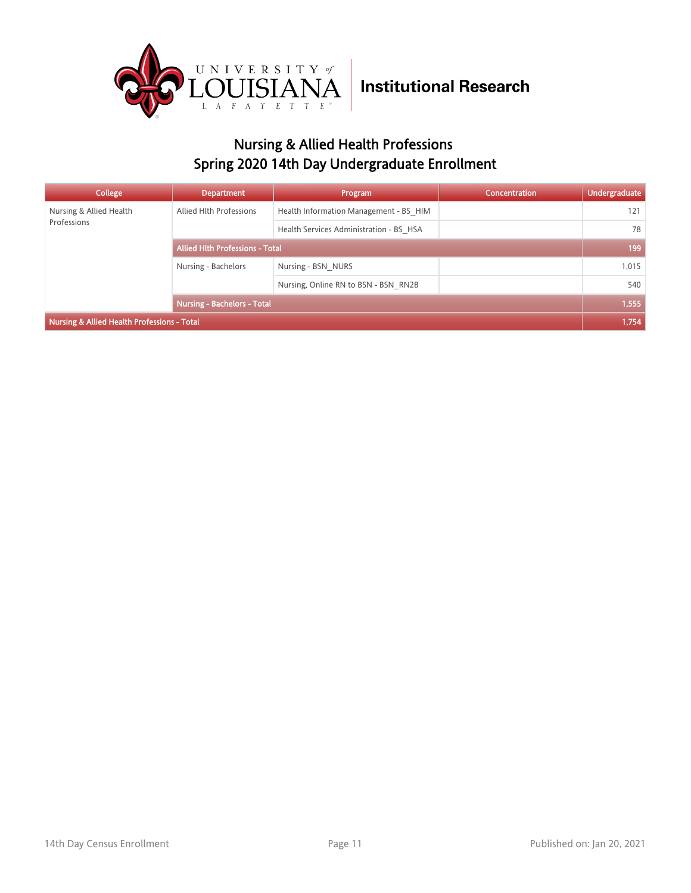

## Nursing & Allied Health Professions Spring 2020 14th Day Undergraduate Enrollment

| College                                     | <b>Department</b>                      | Program                                 | <b>Concentration</b> | <b>Undergraduate</b> |
|---------------------------------------------|----------------------------------------|-----------------------------------------|----------------------|----------------------|
| Nursing & Allied Health                     | Allied Hlth Professions                | Health Information Management - BS HIM  |                      | 121                  |
| Professions                                 |                                        | Health Services Administration - BS HSA |                      | 78                   |
|                                             | <b>Allied Hith Professions - Total</b> |                                         |                      | 199                  |
|                                             | Nursing - Bachelors                    | Nursing - BSN NURS                      |                      | 1,015                |
|                                             |                                        | Nursing, Online RN to BSN - BSN RN2B    |                      | 540                  |
|                                             | <b>Nursing - Bachelors - Total</b>     |                                         |                      | 1,555                |
| Nursing & Allied Health Professions - Total |                                        |                                         |                      | 1,754                |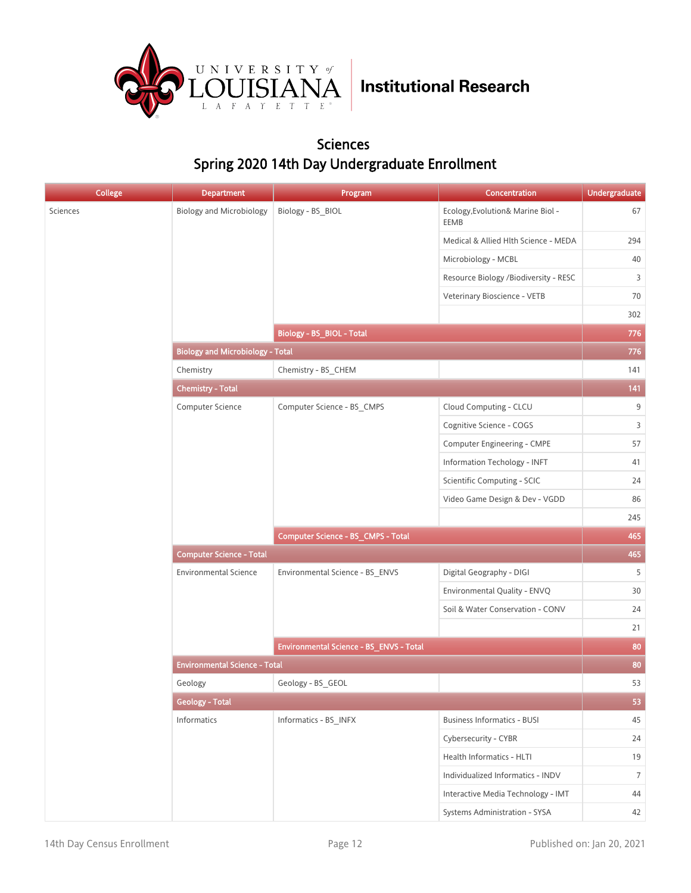

#### Sciences Spring 2020 14th Day Undergraduate Enrollment

| <b>College</b> | <b>Department</b>                       | Program                                 | Concentration                             | <b>Undergraduate</b> |
|----------------|-----------------------------------------|-----------------------------------------|-------------------------------------------|----------------------|
| Sciences       | <b>Biology and Microbiology</b>         | Biology - BS_BIOL                       | Ecology, Evolution& Marine Biol -<br>EEMB | 67                   |
|                |                                         |                                         | Medical & Allied Hlth Science - MEDA      | 294                  |
|                |                                         |                                         | Microbiology - MCBL                       | 40                   |
|                |                                         |                                         | Resource Biology /Biodiversity - RESC     | 3                    |
|                |                                         |                                         | Veterinary Bioscience - VETB              | 70                   |
|                |                                         |                                         |                                           | 302                  |
|                |                                         | Biology - BS_BIOL - Total               |                                           | 776                  |
|                | <b>Biology and Microbiology - Total</b> |                                         |                                           | 776                  |
|                | Chemistry                               | Chemistry - BS_CHEM                     |                                           | 141                  |
|                | <b>Chemistry - Total</b>                |                                         |                                           | 141                  |
|                | Computer Science                        | Computer Science - BS_CMPS              | Cloud Computing - CLCU                    | 9                    |
|                |                                         |                                         | Cognitive Science - COGS                  | 3                    |
|                |                                         |                                         | Computer Engineering - CMPE               | 57                   |
|                |                                         |                                         | Information Techology - INFT              | 41                   |
|                |                                         |                                         | Scientific Computing - SCIC               | 24                   |
|                |                                         |                                         | Video Game Design & Dev - VGDD            | 86                   |
|                |                                         |                                         |                                           | 245                  |
|                |                                         | Computer Science - BS_CMPS - Total      |                                           | 465                  |
|                | <b>Computer Science - Total</b>         |                                         |                                           |                      |
|                | <b>Environmental Science</b>            | Environmental Science - BS_ENVS         | Digital Geography - DIGI                  | 5                    |
|                |                                         |                                         | Environmental Quality - ENVQ              | 30                   |
|                |                                         |                                         | Soil & Water Conservation - CONV          | 24                   |
|                |                                         |                                         |                                           | 21                   |
|                |                                         | Environmental Science - BS_ENVS - Total |                                           | 80                   |
|                | <b>Environmental Science - Total</b>    |                                         |                                           | 80                   |
|                | Geology                                 | Geology - BS GEOL                       |                                           | 53                   |
|                | <b>Geology - Total</b>                  |                                         |                                           | 53                   |
|                | Informatics                             | Informatics - BS_INFX                   | <b>Business Informatics - BUSI</b>        | 45                   |
|                |                                         |                                         | Cybersecurity - CYBR                      | 24                   |
|                |                                         |                                         | Health Informatics - HLTI                 | 19                   |
|                |                                         |                                         | Individualized Informatics - INDV         | 7                    |
|                |                                         |                                         | Interactive Media Technology - IMT        | 44                   |
|                |                                         |                                         | Systems Administration - SYSA             | 42                   |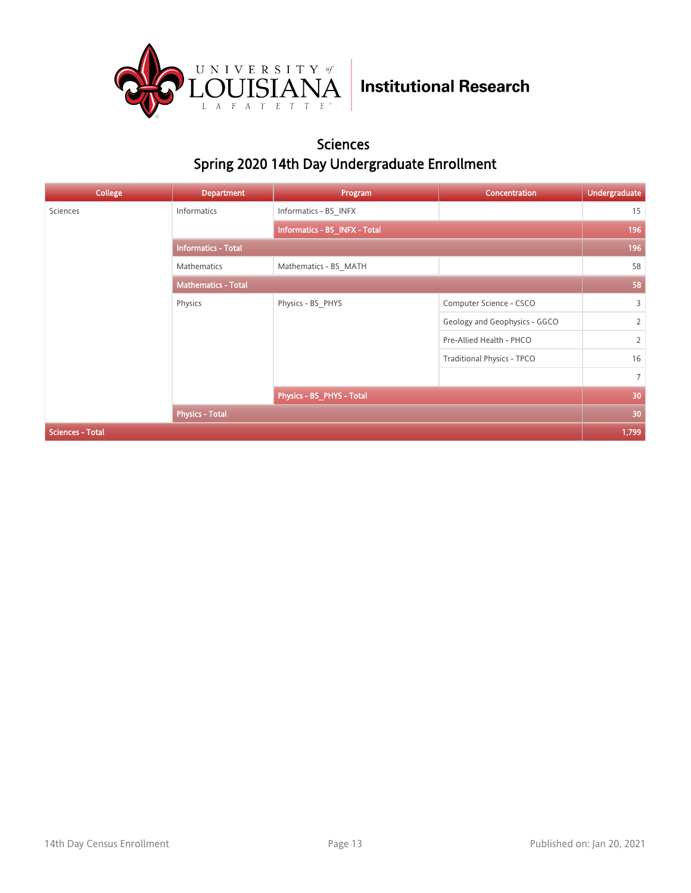

#### Sciences Spring 2020 14th Day Undergraduate Enrollment

| <b>College</b>          | <b>Department</b>          | Program                       | Concentration                     | <b>Undergraduate</b> |
|-------------------------|----------------------------|-------------------------------|-----------------------------------|----------------------|
| Sciences                | Informatics                | Informatics - BS INFX         |                                   | 15                   |
|                         |                            | Informatics - BS_INFX - Total |                                   | 196                  |
|                         | <b>Informatics - Total</b> |                               |                                   |                      |
|                         | Mathematics                | Mathematics - BS_MATH         |                                   | 58                   |
|                         | <b>Mathematics - Total</b> |                               |                                   | 58                   |
|                         | Physics                    | Physics - BS_PHYS             | Computer Science - CSCO           | 3                    |
|                         |                            |                               | Geology and Geophysics - GGCO     | $\overline{2}$       |
|                         |                            |                               | Pre-Allied Health - PHCO          | $\overline{2}$       |
|                         |                            |                               | <b>Traditional Physics - TPCO</b> | 16                   |
|                         |                            |                               |                                   | $7^{\circ}$          |
|                         |                            | Physics - BS_PHYS - Total     |                                   | 30                   |
|                         | <b>Physics - Total</b>     |                               |                                   | 30                   |
| <b>Sciences - Total</b> |                            |                               |                                   | 1,799                |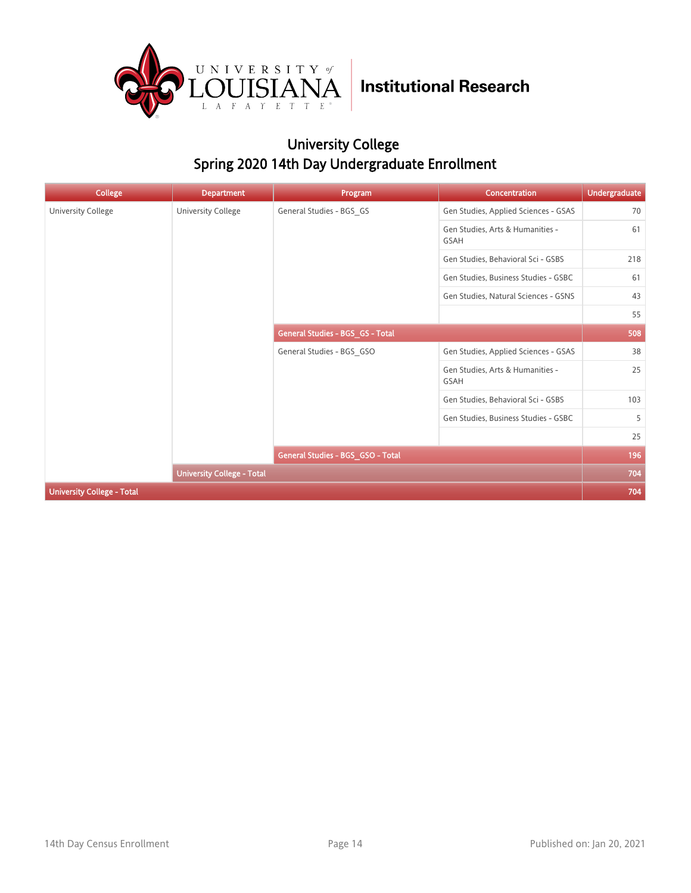

## University College Spring 2020 14th Day Undergraduate Enrollment

| <b>College</b>                    | <b>Department</b>                 | Program                           | Concentration                                   | <b>Undergraduate</b> |
|-----------------------------------|-----------------------------------|-----------------------------------|-------------------------------------------------|----------------------|
| University College                | <b>University College</b>         | General Studies - BGS_GS          | Gen Studies, Applied Sciences - GSAS            | 70                   |
|                                   |                                   |                                   | Gen Studies, Arts & Humanities -<br>GSAH        | 61                   |
|                                   |                                   |                                   | Gen Studies, Behavioral Sci - GSBS              | 218                  |
|                                   |                                   |                                   | Gen Studies, Business Studies - GSBC            | 61                   |
|                                   |                                   |                                   | Gen Studies, Natural Sciences - GSNS            | 43                   |
|                                   |                                   |                                   |                                                 | 55                   |
|                                   |                                   | General Studies - BGS_GS - Total  |                                                 | 508                  |
|                                   |                                   | General Studies - BGS GSO         | Gen Studies, Applied Sciences - GSAS            | 38                   |
|                                   |                                   |                                   | Gen Studies, Arts & Humanities -<br><b>GSAH</b> | 25                   |
|                                   |                                   |                                   | Gen Studies, Behavioral Sci - GSBS              | 103                  |
|                                   |                                   |                                   | Gen Studies, Business Studies - GSBC            | 5                    |
|                                   |                                   |                                   |                                                 | 25                   |
|                                   |                                   | General Studies - BGS GSO - Total |                                                 | 196                  |
|                                   | <b>University College - Total</b> |                                   |                                                 | 704                  |
| <b>University College - Total</b> |                                   |                                   |                                                 | 704                  |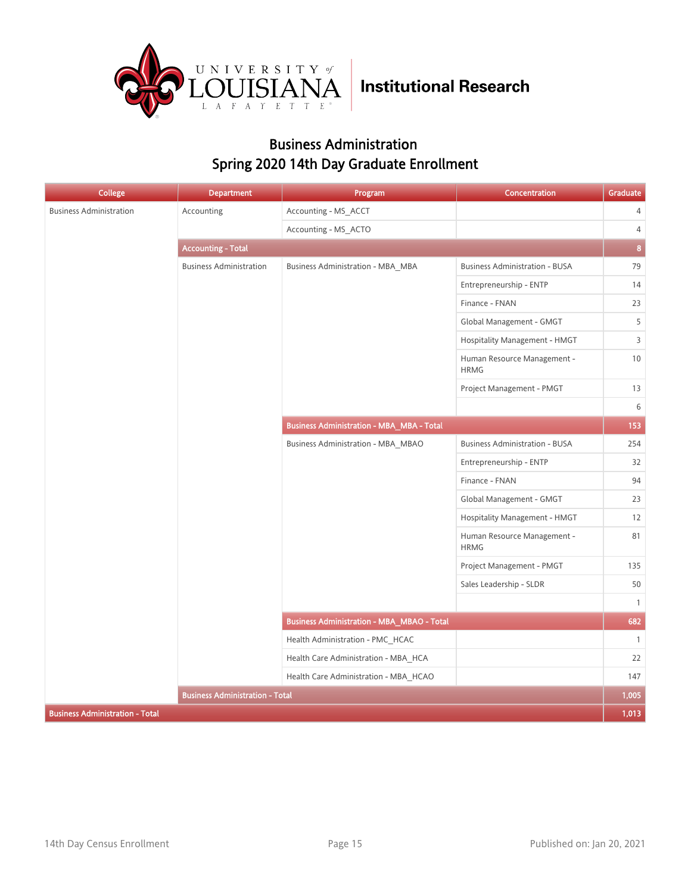

### Business Administration Spring 2020 14th Day Graduate Enrollment

| <b>College</b>                         | <b>Department</b>                      | Program                                           | Concentration                              | Graduate       |
|----------------------------------------|----------------------------------------|---------------------------------------------------|--------------------------------------------|----------------|
| <b>Business Administration</b>         | Accounting                             | Accounting - MS_ACCT                              |                                            | $\overline{4}$ |
|                                        |                                        | Accounting - MS_ACTO                              |                                            | $\overline{4}$ |
|                                        | <b>Accounting - Total</b>              |                                                   |                                            | $\pmb{8}$      |
|                                        | <b>Business Administration</b>         | Business Administration - MBA MBA                 | <b>Business Administration - BUSA</b>      | 79             |
|                                        |                                        |                                                   | Entrepreneurship - ENTP                    | 14             |
|                                        |                                        |                                                   | Finance - FNAN                             | 23             |
|                                        |                                        |                                                   | Global Management - GMGT                   | 5              |
|                                        |                                        |                                                   | Hospitality Management - HMGT              | $\mathsf{3}$   |
|                                        |                                        |                                                   | Human Resource Management -<br><b>HRMG</b> | $10$           |
|                                        |                                        |                                                   | Project Management - PMGT                  | 13             |
|                                        |                                        |                                                   |                                            | 6              |
|                                        |                                        | <b>Business Administration - MBA_MBA - Total</b>  |                                            | 153            |
|                                        |                                        | Business Administration - MBA MBAO                | <b>Business Administration - BUSA</b>      | 254            |
|                                        |                                        |                                                   | Entrepreneurship - ENTP                    | 32             |
|                                        |                                        |                                                   | Finance - FNAN                             | 94             |
|                                        |                                        |                                                   | Global Management - GMGT                   | 23             |
|                                        |                                        |                                                   | Hospitality Management - HMGT              | 12             |
|                                        |                                        |                                                   | Human Resource Management -<br><b>HRMG</b> | 81             |
|                                        |                                        |                                                   | Project Management - PMGT                  | 135            |
|                                        |                                        |                                                   | Sales Leadership - SLDR                    | 50             |
|                                        |                                        |                                                   |                                            | $\mathbf{1}$   |
|                                        |                                        | <b>Business Administration - MBA_MBAO - Total</b> |                                            | 682            |
|                                        |                                        | Health Administration - PMC HCAC                  |                                            | $\mathbf{1}$   |
|                                        |                                        | Health Care Administration - MBA HCA              |                                            | 22             |
|                                        |                                        | Health Care Administration - MBA_HCAO             |                                            | 147            |
|                                        | <b>Business Administration - Total</b> |                                                   |                                            | 1,005          |
| <b>Business Administration - Total</b> |                                        |                                                   |                                            | 1,013          |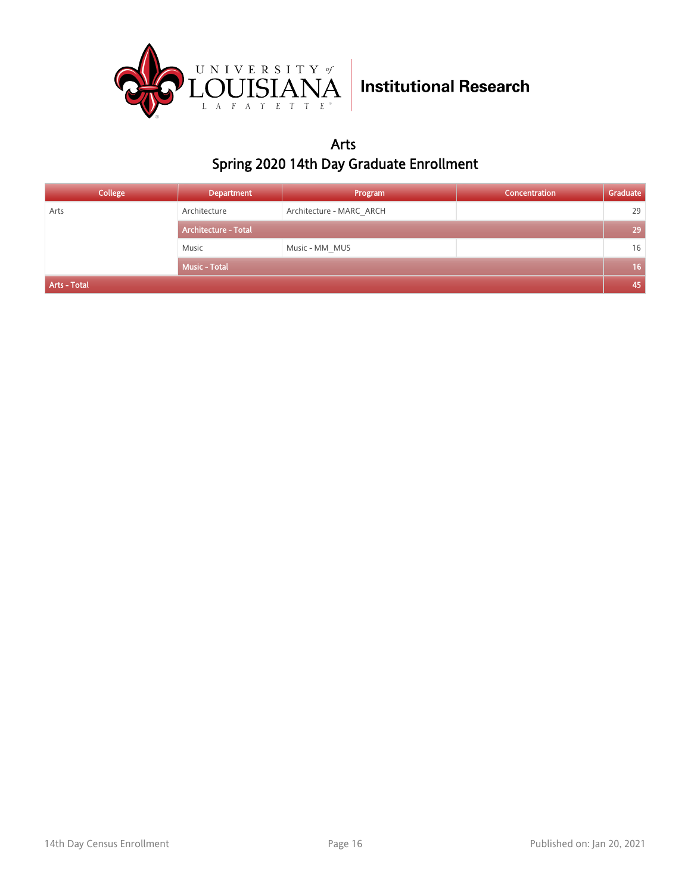

Arts Spring 2020 14th Day Graduate Enrollment

| College      | <b>Department</b>           | Program                  | Concentration | Graduate        |
|--------------|-----------------------------|--------------------------|---------------|-----------------|
| Arts         | Architecture                | Architecture - MARC ARCH |               | 29              |
|              | <b>Architecture - Total</b> |                          |               | 29              |
|              | Music                       | Music - MM_MUS           |               | 16              |
|              | <b>Music - Total</b>        |                          |               | 16 <sup>°</sup> |
| Arts - Total |                             |                          |               | 45              |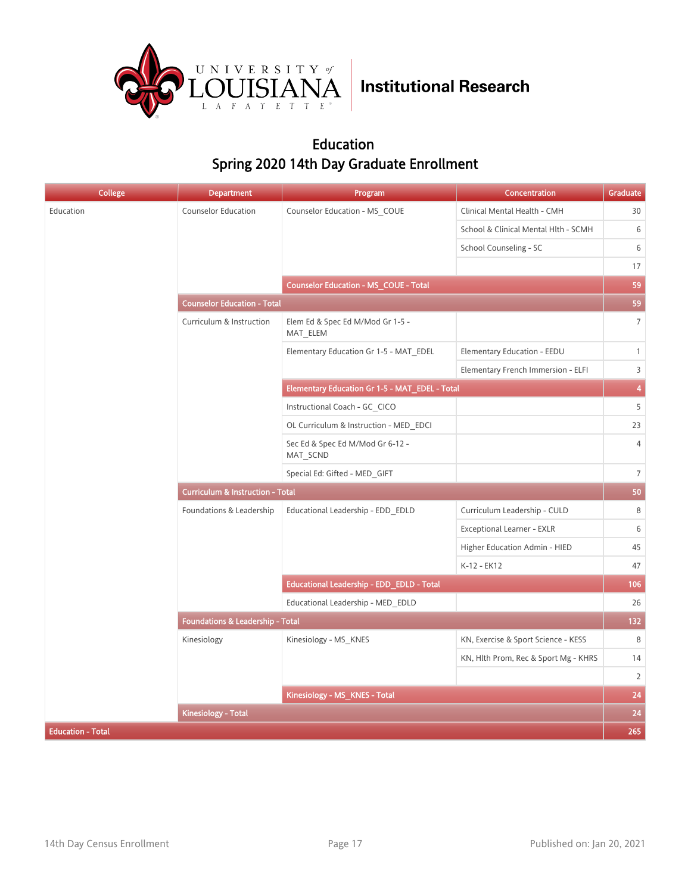

### Education Spring 2020 14th Day Graduate Enrollment

| <b>College</b>           | <b>Department</b>                           | Program                                        | Concentration                        | Graduate                |  |
|--------------------------|---------------------------------------------|------------------------------------------------|--------------------------------------|-------------------------|--|
| Education                | <b>Counselor Education</b>                  | Counselor Education - MS COUE                  | Clinical Mental Health - CMH         | 30                      |  |
|                          |                                             |                                                | School & Clinical Mental Hlth - SCMH | 6                       |  |
|                          |                                             |                                                | School Counseling - SC               | 6                       |  |
|                          |                                             |                                                |                                      | 17                      |  |
|                          |                                             | <b>Counselor Education - MS COUE - Total</b>   |                                      | 59                      |  |
|                          | <b>Counselor Education - Total</b>          |                                                |                                      | 59                      |  |
|                          | Curriculum & Instruction                    | Elem Ed & Spec Ed M/Mod Gr 1-5 -<br>MAT_ELEM   |                                      | $\overline{7}$          |  |
|                          |                                             | Elementary Education Gr 1-5 - MAT EDEL         | Elementary Education - EEDU          | $\mathbf{1}$            |  |
|                          |                                             |                                                | Elementary French Immersion - ELFI   | $\overline{3}$          |  |
|                          |                                             | Elementary Education Gr 1-5 - MAT_EDEL - Total |                                      | $\overline{\mathbf{4}}$ |  |
|                          |                                             | Instructional Coach - GC CICO                  |                                      | 5                       |  |
|                          |                                             | OL Curriculum & Instruction - MED EDCI         |                                      | 23                      |  |
|                          |                                             | Sec Ed & Spec Ed M/Mod Gr 6-12 -<br>MAT SCND   |                                      | $\overline{4}$          |  |
|                          |                                             | Special Ed: Gifted - MED GIFT                  |                                      | $\overline{7}$          |  |
|                          | <b>Curriculum &amp; Instruction - Total</b> |                                                |                                      |                         |  |
|                          | Foundations & Leadership                    | Educational Leadership - EDD EDLD              | Curriculum Leadership - CULD         | 8                       |  |
|                          |                                             |                                                | Exceptional Learner - EXLR           | $\,$ 6 $\,$             |  |
|                          |                                             |                                                | Higher Education Admin - HIED        | 45                      |  |
|                          |                                             |                                                | K-12 - EK12                          | 47                      |  |
|                          |                                             | Educational Leadership - EDD_EDLD - Total      |                                      | 106                     |  |
|                          |                                             | Educational Leadership - MED EDLD              |                                      | 26                      |  |
|                          | Foundations & Leadership - Total            |                                                |                                      | 132                     |  |
|                          | Kinesiology                                 | Kinesiology - MS_KNES                          | KN, Exercise & Sport Science - KESS  | 8                       |  |
|                          |                                             |                                                | KN, Hlth Prom, Rec & Sport Mg - KHRS | 14                      |  |
|                          |                                             |                                                |                                      | $\overline{2}$          |  |
|                          |                                             | Kinesiology - MS_KNES - Total                  |                                      | 24                      |  |
|                          | <b>Kinesiology - Total</b>                  |                                                |                                      | 24                      |  |
| <b>Education - Total</b> |                                             |                                                |                                      | 265                     |  |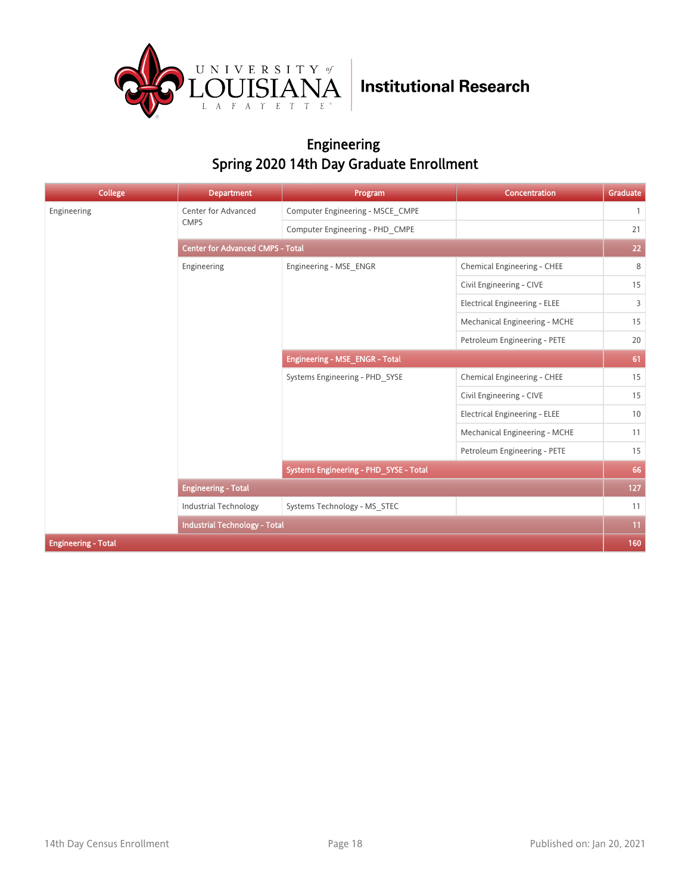

### Engineering Spring 2020 14th Day Graduate Enrollment

| <b>College</b>             | <b>Department</b>                       | Program                                | Concentration                        | Graduate       |  |
|----------------------------|-----------------------------------------|----------------------------------------|--------------------------------------|----------------|--|
| Engineering                | <b>Center for Advanced</b>              | Computer Engineering - MSCE CMPE       |                                      | $\overline{1}$ |  |
|                            | <b>CMPS</b>                             | Computer Engineering - PHD CMPE        |                                      | 21             |  |
|                            | <b>Center for Advanced CMPS - Total</b> |                                        |                                      |                |  |
|                            | Engineering                             | Engineering - MSE ENGR                 | Chemical Engineering - CHEE          | 8              |  |
|                            |                                         |                                        | Civil Engineering - CIVE             | 15             |  |
|                            |                                         |                                        | <b>Electrical Engineering - ELEE</b> | 3              |  |
|                            |                                         |                                        | Mechanical Engineering - MCHE        | 15             |  |
|                            |                                         |                                        | Petroleum Engineering - PETE         | 20             |  |
|                            |                                         | Engineering - MSE_ENGR - Total         |                                      | 61             |  |
|                            |                                         | Systems Engineering - PHD SYSE         | Chemical Engineering - CHEE          | 15             |  |
|                            |                                         |                                        | Civil Engineering - CIVE             | 15             |  |
|                            |                                         |                                        | <b>Electrical Engineering - ELEE</b> | 10             |  |
|                            |                                         |                                        | Mechanical Engineering - MCHE        | 11             |  |
|                            |                                         |                                        | Petroleum Engineering - PETE         | 15             |  |
|                            |                                         | Systems Engineering - PHD_SYSE - Total |                                      | 66             |  |
|                            | <b>Engineering - Total</b>              |                                        |                                      | 127            |  |
|                            | <b>Industrial Technology</b>            | Systems Technology - MS STEC           |                                      | 11             |  |
|                            | <b>Industrial Technology - Total</b>    |                                        |                                      | 11             |  |
| <b>Engineering - Total</b> |                                         |                                        |                                      | 160            |  |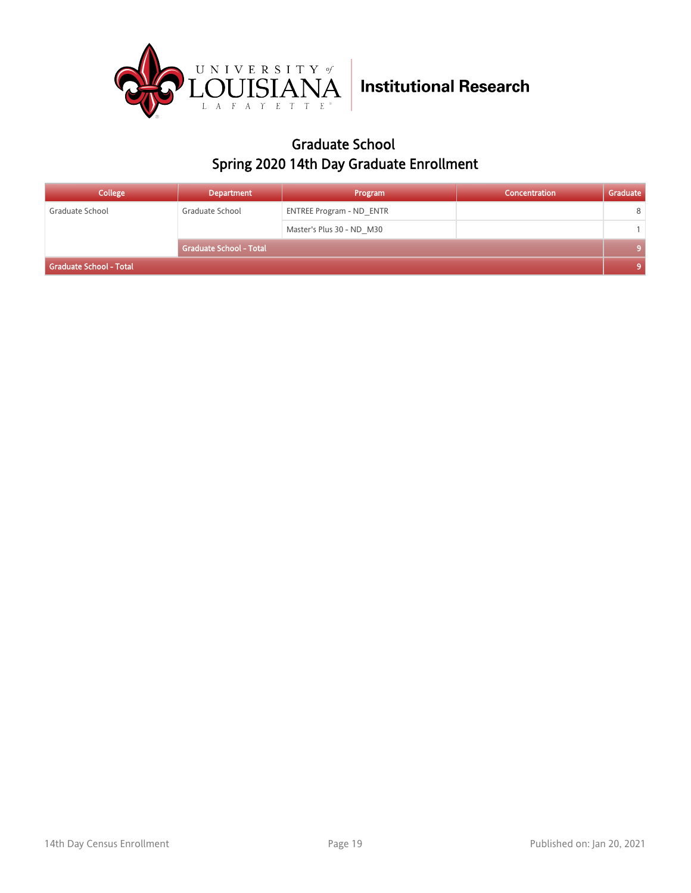

### Graduate School Spring 2020 14th Day Graduate Enrollment

| College                 | <b>Department</b>              | Program                         | Concentration | Graduate |
|-------------------------|--------------------------------|---------------------------------|---------------|----------|
| Graduate School         | Graduate School                | <b>ENTREE Program - ND ENTR</b> |               | 8        |
|                         |                                | Master's Plus 30 - ND M30       |               |          |
|                         | <b>Graduate School - Total</b> |                                 |               |          |
| Graduate School - Total |                                |                                 |               |          |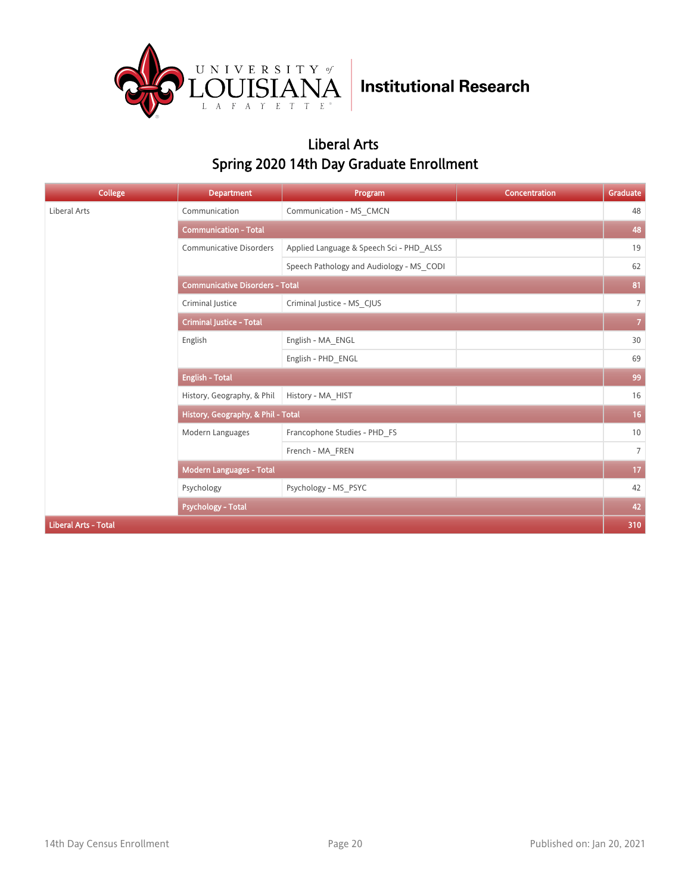

### Liberal Arts Spring 2020 14th Day Graduate Enrollment

| <b>College</b>              | <b>Department</b>                      | Program                                  | Concentration | Graduate        |  |
|-----------------------------|----------------------------------------|------------------------------------------|---------------|-----------------|--|
| Liberal Arts                | Communication                          | Communication - MS_CMCN                  |               | 48              |  |
|                             | <b>Communication - Total</b>           |                                          |               | 48              |  |
|                             | <b>Communicative Disorders</b>         | Applied Language & Speech Sci - PHD ALSS |               | 19              |  |
|                             |                                        | Speech Pathology and Audiology - MS CODI |               | 62              |  |
|                             | <b>Communicative Disorders - Total</b> |                                          |               |                 |  |
|                             | Criminal Justice                       | Criminal Justice - MS CJUS               |               | $\overline{7}$  |  |
|                             | <b>Criminal Justice - Total</b>        |                                          |               |                 |  |
|                             | English                                | English - MA_ENGL                        |               | 30              |  |
|                             |                                        | English - PHD ENGL                       |               | 69              |  |
|                             | <b>English - Total</b>                 |                                          |               |                 |  |
|                             | History, Geography, & Phil             | History - MA HIST                        |               | 16              |  |
|                             | History, Geography, & Phil - Total     |                                          |               | 16 <sub>1</sub> |  |
|                             | Modern Languages                       | Francophone Studies - PHD_FS             |               | 10              |  |
|                             |                                        | French - MA FREN                         |               | $7^{\circ}$     |  |
|                             | Modern Languages - Total               |                                          |               | 17              |  |
|                             | Psychology                             | Psychology - MS PSYC                     |               | 42              |  |
|                             | <b>Psychology - Total</b>              |                                          |               | 42              |  |
| <b>Liberal Arts - Total</b> |                                        |                                          |               | 310             |  |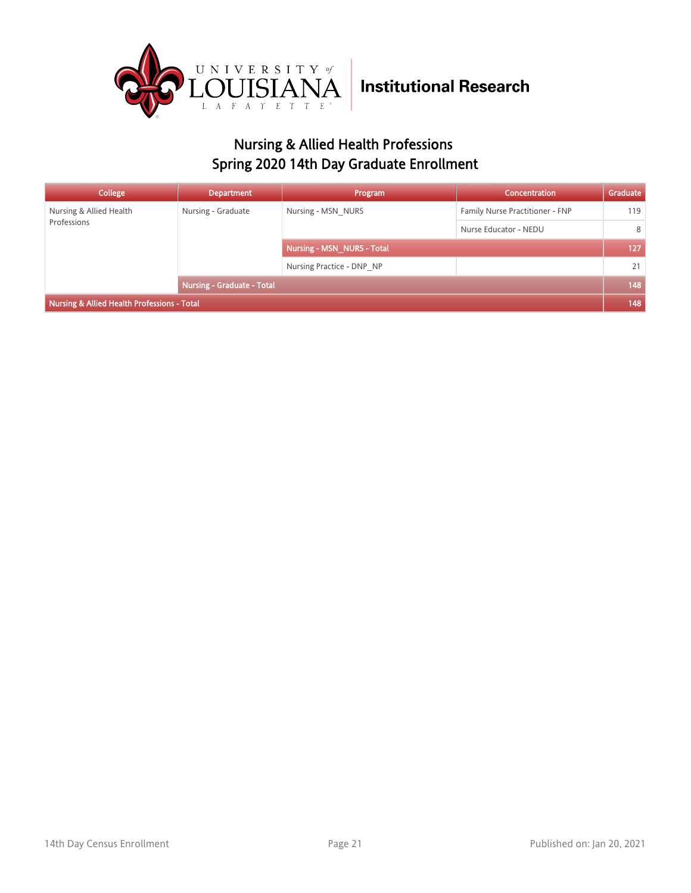

## Nursing & Allied Health Professions Spring 2020 14th Day Graduate Enrollment

| College                                     | <b>Department</b>                 | Program                    | Concentration                   | Graduate |
|---------------------------------------------|-----------------------------------|----------------------------|---------------------------------|----------|
| Nursing & Allied Health<br>Professions      | Nursing - Graduate                | Nursing - MSN NURS         | Family Nurse Practitioner - FNP | 119      |
|                                             |                                   |                            | Nurse Educator - NEDU           | 8        |
|                                             |                                   | Nursing - MSN NURS - Total |                                 | 127      |
|                                             |                                   | Nursing Practice - DNP NP  |                                 | 21       |
|                                             | <b>Nursing - Graduate - Total</b> |                            |                                 | 148      |
| Nursing & Allied Health Professions - Total |                                   |                            |                                 |          |